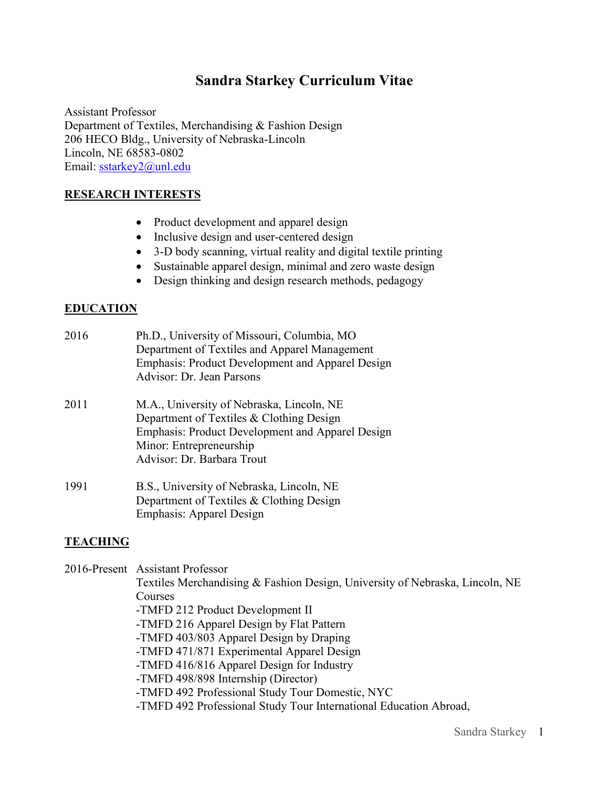# **Sandra Starkey Curriculum Vitae**

Assistant Professor Department of Textiles, Merchandising & Fashion Design 206 HECO Bldg., University of Nebraska-Lincoln Lincoln, NE 68583-0802 Email: [sstarkey2@unl.edu](mailto:sstarkey2@unl.edu)

# **RESEARCH INTERESTS**

- Product development and apparel design
- Inclusive design and user-centered design
- 3-D body scanning, virtual reality and digital textile printing
- Sustainable apparel design, minimal and zero waste design
- Design thinking and design research methods, pedagogy

## **EDUCATION**

| 2016 | Ph.D., University of Missouri, Columbia, MO<br>Department of Textiles and Apparel Management<br>Emphasis: Product Development and Apparel Design<br>Advisor: Dr. Jean Parsons                      |
|------|----------------------------------------------------------------------------------------------------------------------------------------------------------------------------------------------------|
| 2011 | M.A., University of Nebraska, Lincoln, NE<br>Department of Textiles & Clothing Design<br>Emphasis: Product Development and Apparel Design<br>Minor: Entrepreneurship<br>Advisor: Dr. Barbara Trout |
| 1991 | B.S., University of Nebraska, Lincoln, NE<br>Department of Textiles & Clothing Design<br><b>Emphasis: Apparel Design</b>                                                                           |

#### **TEACHING**

2016-Present Assistant Professor

Textiles Merchandising & Fashion Design, University of Nebraska, Lincoln, NE Courses

- -TMFD 212 Product Development II
- -TMFD 216 Apparel Design by Flat Pattern
- -TMFD 403/803 Apparel Design by Draping
- -TMFD 471/871 Experimental Apparel Design
- -TMFD 416/816 Apparel Design for Industry
- -TMFD 498/898 Internship (Director)
- -TMFD 492 Professional Study Tour Domestic, NYC
- -TMFD 492 Professional Study Tour International Education Abroad,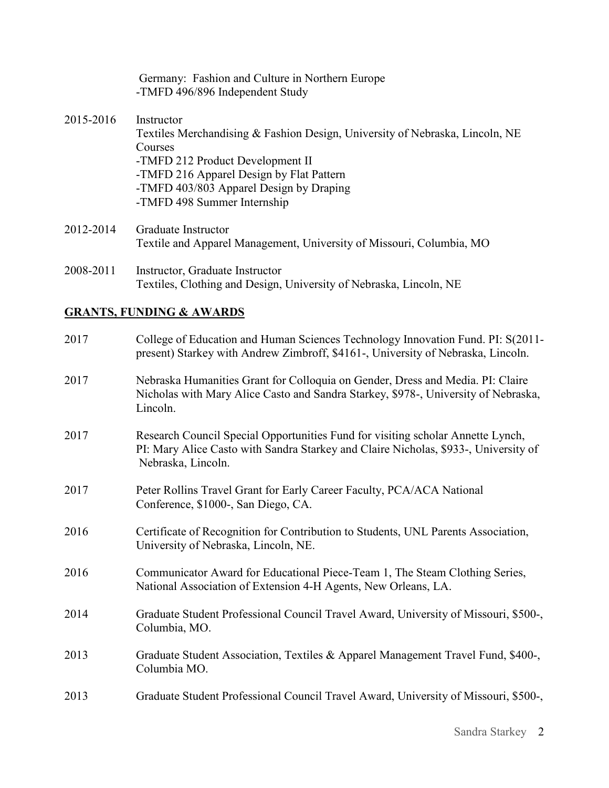|           | Germany: Fashion and Culture in Northern Europe<br>-TMFD 496/896 Independent Study                                                                                                                                                                              |
|-----------|-----------------------------------------------------------------------------------------------------------------------------------------------------------------------------------------------------------------------------------------------------------------|
| 2015-2016 | Instructor<br>Textiles Merchandising & Fashion Design, University of Nebraska, Lincoln, NE<br>Courses<br>-TMFD 212 Product Development II<br>-TMFD 216 Apparel Design by Flat Pattern<br>-TMFD 403/803 Apparel Design by Draping<br>-TMFD 498 Summer Internship |
| 2012-2014 | Graduate Instructor<br>Textile and Apparel Management, University of Missouri, Columbia, MO                                                                                                                                                                     |
|           |                                                                                                                                                                                                                                                                 |

2008-2011 Instructor, Graduate Instructor Textiles, Clothing and Design, University of Nebraska, Lincoln, NE

# **GRANTS, FUNDING & AWARDS**

| 2017 | College of Education and Human Sciences Technology Innovation Fund. PI: S(2011-<br>present) Starkey with Andrew Zimbroff, \$4161-, University of Nebraska, Lincoln.                          |
|------|----------------------------------------------------------------------------------------------------------------------------------------------------------------------------------------------|
| 2017 | Nebraska Humanities Grant for Colloquia on Gender, Dress and Media. PI: Claire<br>Nicholas with Mary Alice Casto and Sandra Starkey, \$978-, University of Nebraska,<br>Lincoln.             |
| 2017 | Research Council Special Opportunities Fund for visiting scholar Annette Lynch,<br>PI: Mary Alice Casto with Sandra Starkey and Claire Nicholas, \$933-, University of<br>Nebraska, Lincoln. |
| 2017 | Peter Rollins Travel Grant for Early Career Faculty, PCA/ACA National<br>Conference, \$1000-, San Diego, CA.                                                                                 |
| 2016 | Certificate of Recognition for Contribution to Students, UNL Parents Association,<br>University of Nebraska, Lincoln, NE.                                                                    |
| 2016 | Communicator Award for Educational Piece-Team 1, The Steam Clothing Series,<br>National Association of Extension 4-H Agents, New Orleans, LA.                                                |
| 2014 | Graduate Student Professional Council Travel Award, University of Missouri, \$500-,<br>Columbia, MO.                                                                                         |
| 2013 | Graduate Student Association, Textiles & Apparel Management Travel Fund, \$400-,<br>Columbia MO.                                                                                             |
| 2013 | Graduate Student Professional Council Travel Award, University of Missouri, \$500-,                                                                                                          |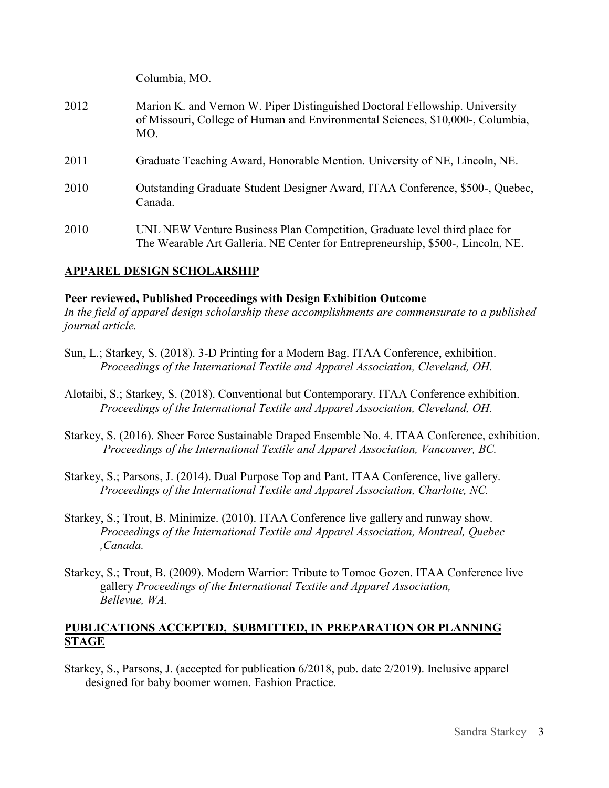Columbia, MO.

- 2012 Marion K. and Vernon W. Piper Distinguished Doctoral Fellowship. University of Missouri, College of Human and Environmental Sciences, \$10,000-, Columbia, MO.
- 2011 Graduate Teaching Award, Honorable Mention. University of NE, Lincoln, NE.
- 2010 Outstanding Graduate Student Designer Award, ITAA Conference, \$500-, Quebec, Canada.
- 2010 UNL NEW Venture Business Plan Competition, Graduate level third place for The Wearable Art Galleria. NE Center for Entrepreneurship, \$500-, Lincoln, NE.

# **APPAREL DESIGN SCHOLARSHIP**

#### **Peer reviewed, Published Proceedings with Design Exhibition Outcome**

*In the field of apparel design scholarship these accomplishments are commensurate to a published journal article.*

- Sun, L.; Starkey, S. (2018). 3-D Printing for a Modern Bag. ITAA Conference, exhibition.  *Proceedings of the International Textile and Apparel Association, Cleveland, OH.*
- Alotaibi, S.; Starkey, S. (2018). Conventional but Contemporary. ITAA Conference exhibition. *Proceedings of the International Textile and Apparel Association, Cleveland, OH.*
- Starkey, S. (2016). Sheer Force Sustainable Draped Ensemble No. 4. ITAA Conference, exhibition. *Proceedings of the International Textile and Apparel Association, Vancouver, BC.*
- Starkey, S.; Parsons, J. (2014). Dual Purpose Top and Pant. ITAA Conference, live gallery. *Proceedings of the International Textile and Apparel Association, Charlotte, NC.*
- Starkey, S.; Trout, B. Minimize. (2010). ITAA Conference live gallery and runway show. *Proceedings of the International Textile and Apparel Association, Montreal, Quebec ,Canada.*
- Starkey, S.; Trout, B. (2009). Modern Warrior: Tribute to Tomoe Gozen. ITAA Conference live gallery *Proceedings of the International Textile and Apparel Association, Bellevue, WA.*

# **PUBLICATIONS ACCEPTED, SUBMITTED, IN PREPARATION OR PLANNING STAGE**

Starkey, S., Parsons, J. (accepted for publication 6/2018, pub. date 2/2019). Inclusive apparel designed for baby boomer women. Fashion Practice.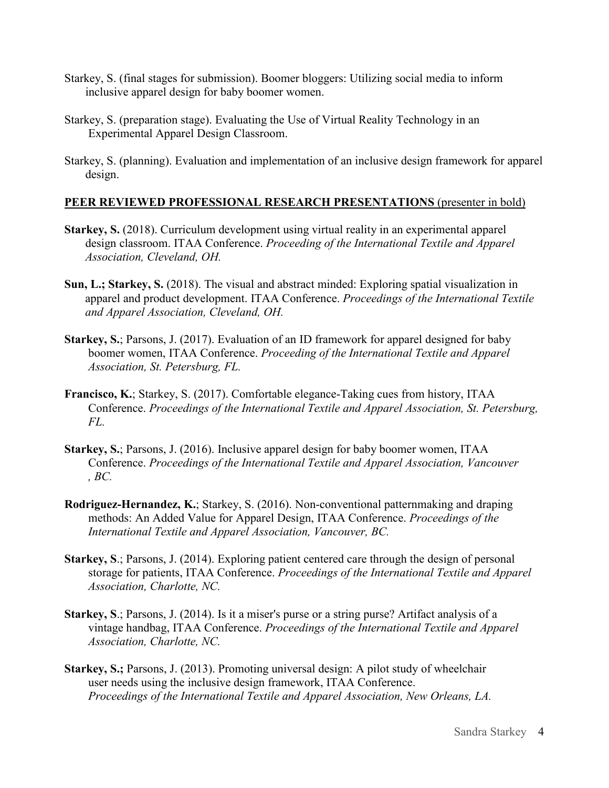- Starkey, S. (final stages for submission). Boomer bloggers: Utilizing social media to inform inclusive apparel design for baby boomer women.
- Starkey, S. (preparation stage). Evaluating the Use of Virtual Reality Technology in an Experimental Apparel Design Classroom.
- Starkey, S. (planning). Evaluation and implementation of an inclusive design framework for apparel design.

## **PEER REVIEWED PROFESSIONAL RESEARCH PRESENTATIONS** (presenter in bold)

- Starkey, S. (2018). Curriculum development using virtual reality in an experimental apparel design classroom. ITAA Conference. *Proceeding of the International Textile and Apparel Association, Cleveland, OH.*
- **Sun, L.; Starkey, S.** (2018). The visual and abstract minded: Exploring spatial visualization in apparel and product development. ITAA Conference. *Proceedings of the International Textile and Apparel Association, Cleveland, OH.*
- **Starkey, S.**; Parsons, J. (2017). Evaluation of an ID framework for apparel designed for baby boomer women, ITAA Conference. *Proceeding of the International Textile and Apparel Association, St. Petersburg, FL.*
- **Francisco, K.**; Starkey, S. (2017). Comfortable elegance-Taking cues from history, ITAA Conference. *Proceedings of the International Textile and Apparel Association, St. Petersburg, FL.*
- **Starkey, S.**; Parsons, J. (2016). Inclusive apparel design for baby boomer women, ITAA Conference. *Proceedings of the International Textile and Apparel Association, Vancouver , BC.*
- **Rodriguez-Hernandez, K.**; Starkey, S. (2016). Non-conventional patternmaking and draping methods: An Added Value for Apparel Design, ITAA Conference. *Proceedings of the International Textile and Apparel Association, Vancouver, BC.*
- **Starkey, S**.; Parsons, J. (2014). Exploring patient centered care through the design of personal storage for patients, ITAA Conference. *Proceedings of the International Textile and Apparel Association, Charlotte, NC.*
- **Starkey, S**.; Parsons, J. (2014). Is it a miser's purse or a string purse? Artifact analysis of a vintage handbag, ITAA Conference. *Proceedings of the International Textile and Apparel Association, Charlotte, NC.*
- **Starkey, S.;** Parsons, J. (2013). Promoting universal design: A pilot study of wheelchair user needs using the inclusive design framework, ITAA Conference. *Proceedings of the International Textile and Apparel Association, New Orleans, LA.*